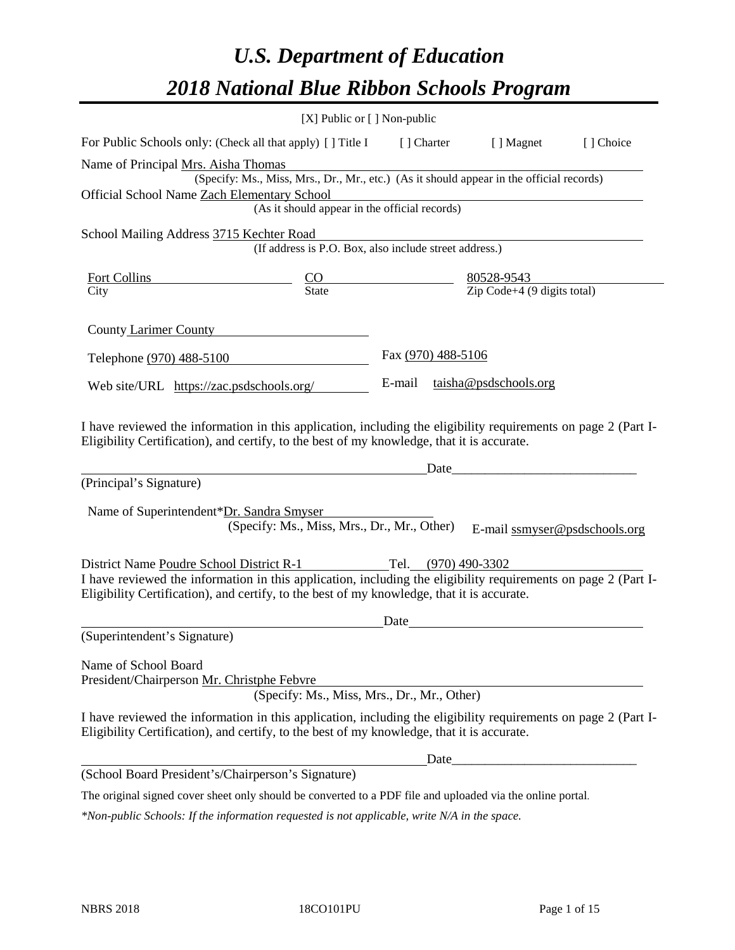# *U.S. Department of Education 2018 National Blue Ribbon Schools Program*

|                                                                                                                                                                                                                                                                                     | [X] Public or [] Non-public                                                              |                    |                     |                               |           |
|-------------------------------------------------------------------------------------------------------------------------------------------------------------------------------------------------------------------------------------------------------------------------------------|------------------------------------------------------------------------------------------|--------------------|---------------------|-------------------------------|-----------|
| For Public Schools only: (Check all that apply) [ ] Title I                                                                                                                                                                                                                         |                                                                                          |                    | [ ] Charter         | [ ] Magnet                    | [] Choice |
| Name of Principal Mrs. Aisha Thomas<br>Official School Name Zach Elementary School                                                                                                                                                                                                  | (Specify: Ms., Miss, Mrs., Dr., Mr., etc.) (As it should appear in the official records) |                    |                     |                               |           |
|                                                                                                                                                                                                                                                                                     | (As it should appear in the official records)                                            |                    |                     |                               |           |
| School Mailing Address 3715 Kechter Road                                                                                                                                                                                                                                            | (If address is P.O. Box, also include street address.)                                   |                    |                     |                               |           |
| Fort Collins<br>City<br>City<br>City<br>City<br>City<br>City<br>City<br>City<br>City<br>City<br>City<br>City<br>City<br>City<br>Context (Determined the state of the state of the state of the state of the state of the state of the state of the state of                         |                                                                                          |                    |                     |                               |           |
| County Larimer County                                                                                                                                                                                                                                                               |                                                                                          |                    |                     |                               |           |
| Telephone (970) 488-5100                                                                                                                                                                                                                                                            |                                                                                          | Fax (970) 488-5106 |                     |                               |           |
| Web site/URL https://zac.psdschools.org/                                                                                                                                                                                                                                            |                                                                                          |                    |                     | E-mail taisha@psdschools.org  |           |
| I have reviewed the information in this application, including the eligibility requirements on page 2 (Part I-<br>Eligibility Certification), and certify, to the best of my knowledge, that it is accurate.<br>(Principal's Signature)<br>Name of Superintendent*Dr. Sandra Smyser | (Specify: Ms., Miss, Mrs., Dr., Mr., Other)                                              |                    | Date                | E-mail ssmyser@psdschools.org |           |
| District Name Poudre School District R-1<br>I have reviewed the information in this application, including the eligibility requirements on page 2 (Part I-<br>Eligibility Certification), and certify, to the best of my knowledge, that it is accurate.                            |                                                                                          |                    | Tel. (970) 490-3302 |                               |           |
| (Superintendent's Signature)                                                                                                                                                                                                                                                        |                                                                                          | Date               |                     |                               |           |
| Name of School Board<br>President/Chairperson Mr. Christphe Febvre<br>I have reviewed the information in this application, including the eligibility requirements on page 2 (Part I-<br>Eligibility Certification), and certify, to the best of my knowledge, that it is accurate.  | (Specify: Ms., Miss, Mrs., Dr., Mr., Other)                                              |                    |                     |                               |           |
|                                                                                                                                                                                                                                                                                     |                                                                                          |                    | Date                |                               |           |
| (School Board President's/Chairperson's Signature)                                                                                                                                                                                                                                  |                                                                                          |                    |                     |                               |           |
| The original signed cover sheet only should be converted to a PDF file and uploaded via the online portal.                                                                                                                                                                          |                                                                                          |                    |                     |                               |           |

*\*Non-public Schools: If the information requested is not applicable, write N/A in the space.*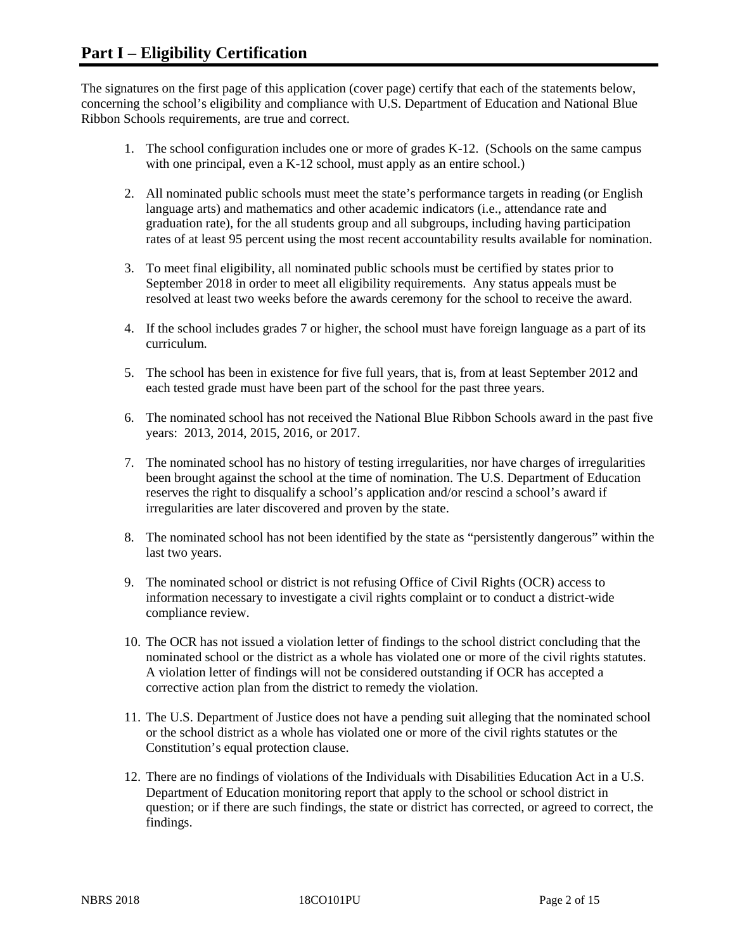The signatures on the first page of this application (cover page) certify that each of the statements below, concerning the school's eligibility and compliance with U.S. Department of Education and National Blue Ribbon Schools requirements, are true and correct.

- 1. The school configuration includes one or more of grades K-12. (Schools on the same campus with one principal, even a K-12 school, must apply as an entire school.)
- 2. All nominated public schools must meet the state's performance targets in reading (or English language arts) and mathematics and other academic indicators (i.e., attendance rate and graduation rate), for the all students group and all subgroups, including having participation rates of at least 95 percent using the most recent accountability results available for nomination.
- 3. To meet final eligibility, all nominated public schools must be certified by states prior to September 2018 in order to meet all eligibility requirements. Any status appeals must be resolved at least two weeks before the awards ceremony for the school to receive the award.
- 4. If the school includes grades 7 or higher, the school must have foreign language as a part of its curriculum.
- 5. The school has been in existence for five full years, that is, from at least September 2012 and each tested grade must have been part of the school for the past three years.
- 6. The nominated school has not received the National Blue Ribbon Schools award in the past five years: 2013, 2014, 2015, 2016, or 2017.
- 7. The nominated school has no history of testing irregularities, nor have charges of irregularities been brought against the school at the time of nomination. The U.S. Department of Education reserves the right to disqualify a school's application and/or rescind a school's award if irregularities are later discovered and proven by the state.
- 8. The nominated school has not been identified by the state as "persistently dangerous" within the last two years.
- 9. The nominated school or district is not refusing Office of Civil Rights (OCR) access to information necessary to investigate a civil rights complaint or to conduct a district-wide compliance review.
- 10. The OCR has not issued a violation letter of findings to the school district concluding that the nominated school or the district as a whole has violated one or more of the civil rights statutes. A violation letter of findings will not be considered outstanding if OCR has accepted a corrective action plan from the district to remedy the violation.
- 11. The U.S. Department of Justice does not have a pending suit alleging that the nominated school or the school district as a whole has violated one or more of the civil rights statutes or the Constitution's equal protection clause.
- 12. There are no findings of violations of the Individuals with Disabilities Education Act in a U.S. Department of Education monitoring report that apply to the school or school district in question; or if there are such findings, the state or district has corrected, or agreed to correct, the findings.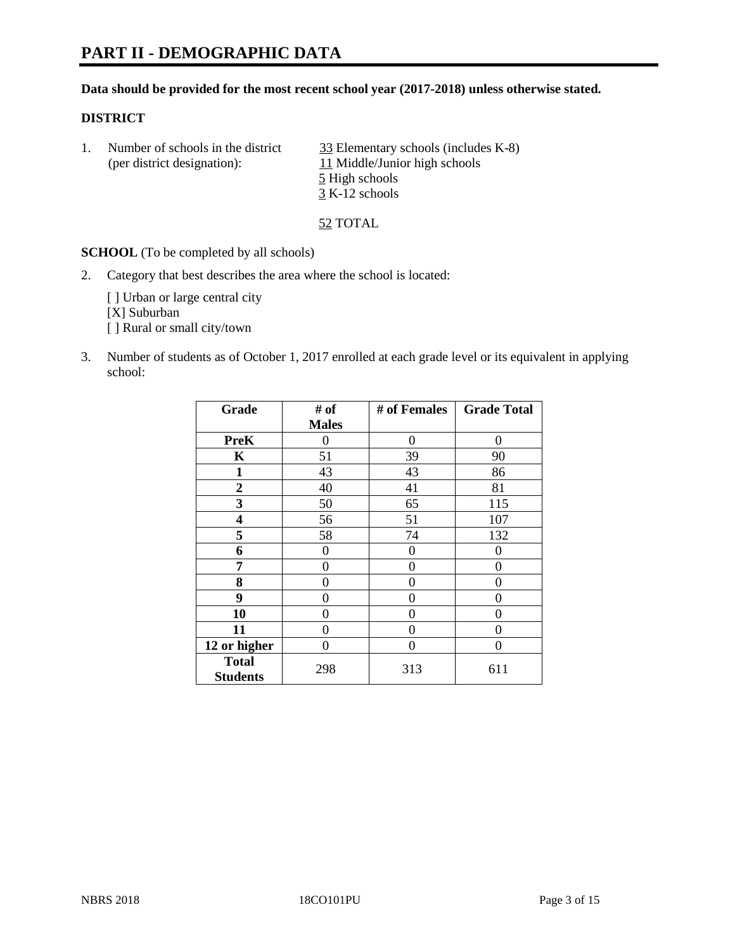# **PART II - DEMOGRAPHIC DATA**

#### **Data should be provided for the most recent school year (2017-2018) unless otherwise stated.**

#### **DISTRICT**

1. Number of schools in the district  $\frac{33}{25}$  Elementary schools (includes K-8) (per district designation): 11 Middle/Junior high schools 5 High schools 3 K-12 schools

52 TOTAL

**SCHOOL** (To be completed by all schools)

2. Category that best describes the area where the school is located:

[] Urban or large central city [X] Suburban [] Rural or small city/town

3. Number of students as of October 1, 2017 enrolled at each grade level or its equivalent in applying school:

| Grade                           | # of         | # of Females | <b>Grade Total</b> |
|---------------------------------|--------------|--------------|--------------------|
|                                 | <b>Males</b> |              |                    |
| <b>PreK</b>                     | 0            | 0            | 0                  |
| K                               | 51           | 39           | 90                 |
| $\mathbf{1}$                    | 43           | 43           | 86                 |
| 2                               | 40           | 41           | 81                 |
| 3                               | 50           | 65           | 115                |
| 4                               | 56           | 51           | 107                |
| 5                               | 58           | 74           | 132                |
| 6                               | 0            | 0            | 0                  |
| 7                               | 0            | 0            | 0                  |
| 8                               | 0            | 0            | 0                  |
| 9                               | 0            | 0            | 0                  |
| 10                              | 0            | 0            | 0                  |
| 11                              | 0            | 0            | 0                  |
| 12 or higher                    | 0            | 0            | 0                  |
| <b>Total</b><br><b>Students</b> | 298          | 313          | 611                |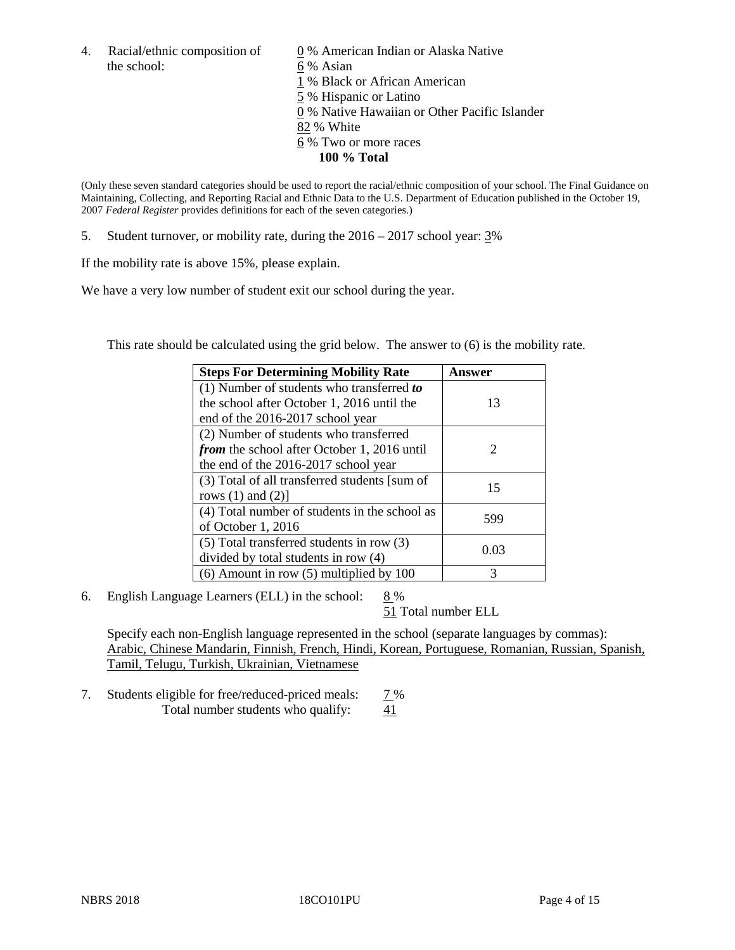the school: 6 % Asian

4. Racial/ethnic composition of  $\qquad 0\%$  American Indian or Alaska Native 1 % Black or African American 5 % Hispanic or Latino 0 % Native Hawaiian or Other Pacific Islander 82 % White 6 % Two or more races **100 % Total**

(Only these seven standard categories should be used to report the racial/ethnic composition of your school. The Final Guidance on Maintaining, Collecting, and Reporting Racial and Ethnic Data to the U.S. Department of Education published in the October 19, 2007 *Federal Register* provides definitions for each of the seven categories.)

5. Student turnover, or mobility rate, during the 2016 – 2017 school year: 3%

If the mobility rate is above 15%, please explain.

We have a very low number of student exit our school during the year.

This rate should be calculated using the grid below. The answer to (6) is the mobility rate.

| <b>Steps For Determining Mobility Rate</b>         | Answer |
|----------------------------------------------------|--------|
| (1) Number of students who transferred to          |        |
| the school after October 1, 2016 until the         | 13     |
| end of the 2016-2017 school year                   |        |
| (2) Number of students who transferred             |        |
| <i>from</i> the school after October 1, 2016 until | 2      |
| the end of the 2016-2017 school year               |        |
| (3) Total of all transferred students [sum of      | 15     |
| rows $(1)$ and $(2)$ ]                             |        |
| (4) Total number of students in the school as      | 599    |
| of October 1, 2016                                 |        |
| $(5)$ Total transferred students in row $(3)$      | 0.03   |
| divided by total students in row (4)               |        |
| $(6)$ Amount in row $(5)$ multiplied by 100        | 3      |

6. English Language Learners (ELL) in the school:  $8\%$ 

51 Total number ELL

Specify each non-English language represented in the school (separate languages by commas): Arabic, Chinese Mandarin, Finnish, French, Hindi, Korean, Portuguese, Romanian, Russian, Spanish, Tamil, Telugu, Turkish, Ukrainian, Vietnamese

7. Students eligible for free/reduced-priced meals: 7 % Total number students who qualify: 41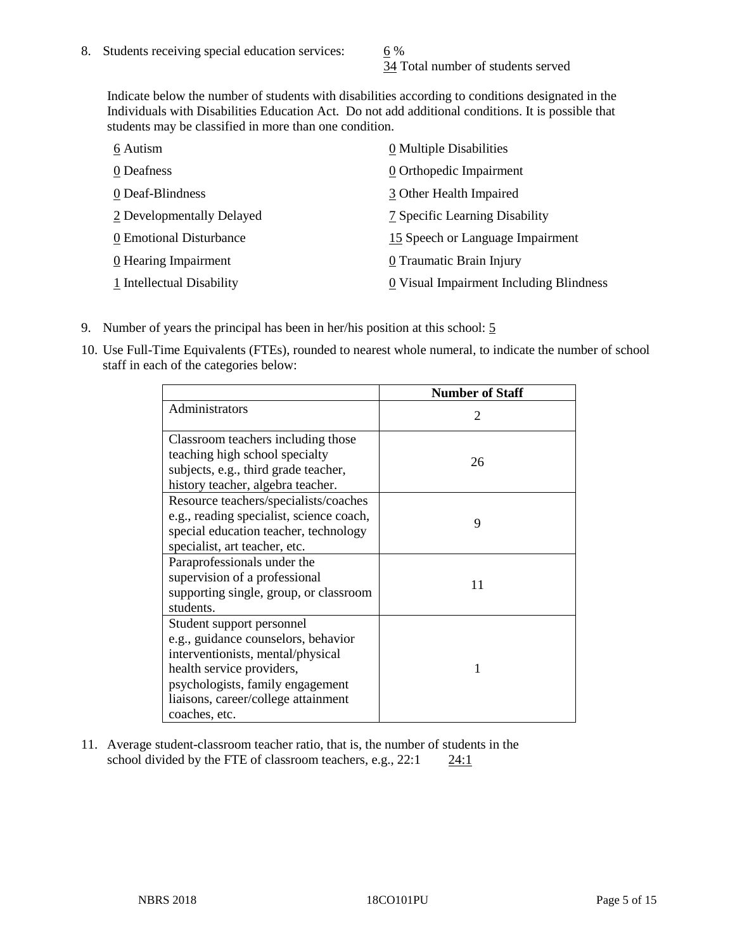34 Total number of students served

Indicate below the number of students with disabilities according to conditions designated in the Individuals with Disabilities Education Act. Do not add additional conditions. It is possible that students may be classified in more than one condition.

| 6 Autism                  | $\underline{0}$ Multiple Disabilities   |
|---------------------------|-----------------------------------------|
| 0 Deafness                | 0 Orthopedic Impairment                 |
| 0 Deaf-Blindness          | 3 Other Health Impaired                 |
| 2 Developmentally Delayed | 7 Specific Learning Disability          |
| 0 Emotional Disturbance   | 15 Speech or Language Impairment        |
| 0 Hearing Impairment      | 0 Traumatic Brain Injury                |
| 1 Intellectual Disability | 0 Visual Impairment Including Blindness |

- 9. Number of years the principal has been in her/his position at this school: 5
- 10. Use Full-Time Equivalents (FTEs), rounded to nearest whole numeral, to indicate the number of school staff in each of the categories below:

|                                                                                                                                                                                                                                | <b>Number of Staff</b>      |
|--------------------------------------------------------------------------------------------------------------------------------------------------------------------------------------------------------------------------------|-----------------------------|
| Administrators                                                                                                                                                                                                                 | $\mathcal{D}_{\mathcal{L}}$ |
| Classroom teachers including those<br>teaching high school specialty<br>subjects, e.g., third grade teacher,<br>history teacher, algebra teacher.                                                                              | 26                          |
| Resource teachers/specialists/coaches<br>e.g., reading specialist, science coach,<br>special education teacher, technology<br>specialist, art teacher, etc.                                                                    | 9                           |
| Paraprofessionals under the<br>supervision of a professional<br>supporting single, group, or classroom<br>students.                                                                                                            | 11                          |
| Student support personnel<br>e.g., guidance counselors, behavior<br>interventionists, mental/physical<br>health service providers,<br>psychologists, family engagement<br>liaisons, career/college attainment<br>coaches, etc. | 1                           |

11. Average student-classroom teacher ratio, that is, the number of students in the school divided by the FTE of classroom teachers, e.g.,  $22:1$  24:1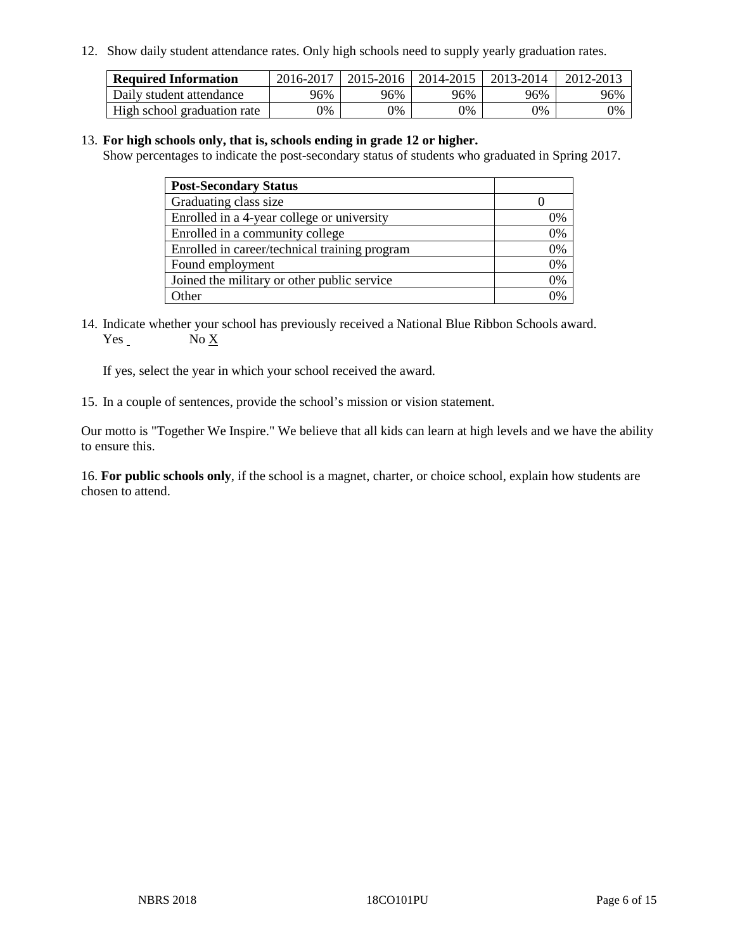12. Show daily student attendance rates. Only high schools need to supply yearly graduation rates.

| <b>Required Information</b> | 2016-2017 | $2015 - 2016$ | 2014-2015 | 2013-2014 | 2012-2013 |
|-----------------------------|-----------|---------------|-----------|-----------|-----------|
| Daily student attendance    | 96%       | 96%           | 96%       | 96%       | 96%       |
| High school graduation rate | 0%        | 0%            | 0%        | 9%        | 0%        |

#### 13. **For high schools only, that is, schools ending in grade 12 or higher.**

Show percentages to indicate the post-secondary status of students who graduated in Spring 2017.

| <b>Post-Secondary Status</b>                  |              |
|-----------------------------------------------|--------------|
| Graduating class size                         |              |
| Enrolled in a 4-year college or university    | 0%           |
| Enrolled in a community college               | 0%           |
| Enrolled in career/technical training program | 0%           |
| Found employment                              | 0%           |
| Joined the military or other public service   | 0%           |
| Other                                         | $\gamma_{0}$ |

14. Indicate whether your school has previously received a National Blue Ribbon Schools award. Yes No X

If yes, select the year in which your school received the award.

15. In a couple of sentences, provide the school's mission or vision statement.

Our motto is "Together We Inspire." We believe that all kids can learn at high levels and we have the ability to ensure this.

16. **For public schools only**, if the school is a magnet, charter, or choice school, explain how students are chosen to attend.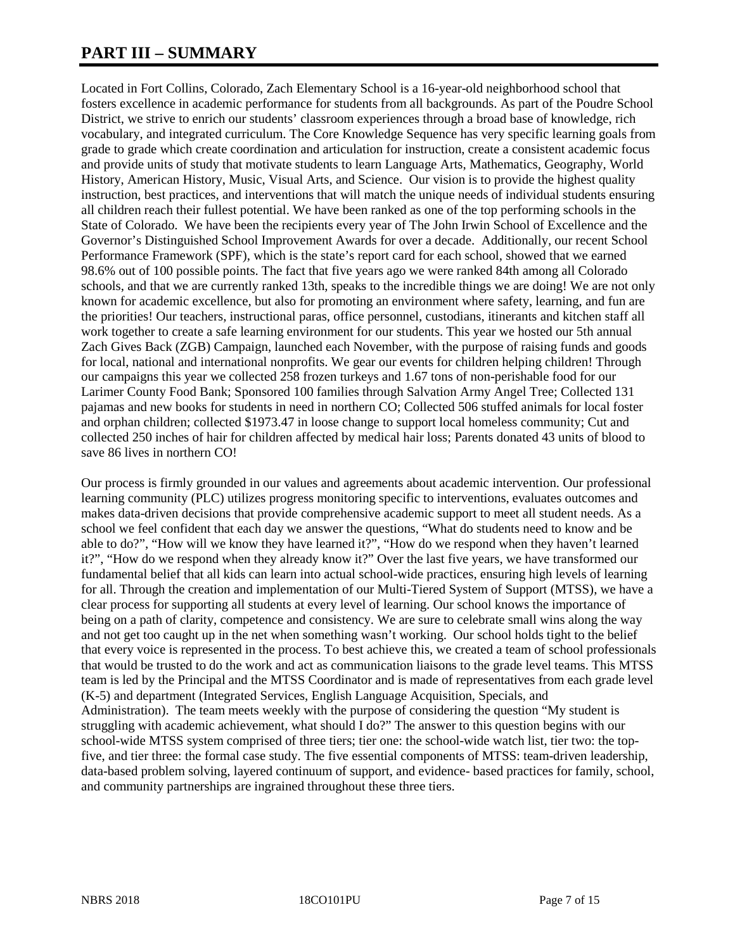# **PART III – SUMMARY**

Located in Fort Collins, Colorado, Zach Elementary School is a 16-year-old neighborhood school that fosters excellence in academic performance for students from all backgrounds. As part of the Poudre School District, we strive to enrich our students' classroom experiences through a broad base of knowledge, rich vocabulary, and integrated curriculum. The Core Knowledge Sequence has very specific learning goals from grade to grade which create coordination and articulation for instruction, create a consistent academic focus and provide units of study that motivate students to learn Language Arts, Mathematics, Geography, World History, American History, Music, Visual Arts, and Science. Our vision is to provide the highest quality instruction, best practices, and interventions that will match the unique needs of individual students ensuring all children reach their fullest potential. We have been ranked as one of the top performing schools in the State of Colorado. We have been the recipients every year of The John Irwin School of Excellence and the Governor's Distinguished School Improvement Awards for over a decade. Additionally, our recent School Performance Framework (SPF), which is the state's report card for each school, showed that we earned 98.6% out of 100 possible points. The fact that five years ago we were ranked 84th among all Colorado schools, and that we are currently ranked 13th, speaks to the incredible things we are doing! We are not only known for academic excellence, but also for promoting an environment where safety, learning, and fun are the priorities! Our teachers, instructional paras, office personnel, custodians, itinerants and kitchen staff all work together to create a safe learning environment for our students. This year we hosted our 5th annual Zach Gives Back (ZGB) Campaign, launched each November, with the purpose of raising funds and goods for local, national and international nonprofits. We gear our events for children helping children! Through our campaigns this year we collected 258 frozen turkeys and 1.67 tons of non-perishable food for our Larimer County Food Bank; Sponsored 100 families through Salvation Army Angel Tree; Collected 131 pajamas and new books for students in need in northern CO; Collected 506 stuffed animals for local foster and orphan children; collected \$1973.47 in loose change to support local homeless community; Cut and collected 250 inches of hair for children affected by medical hair loss; Parents donated 43 units of blood to save 86 lives in northern CO!

Our process is firmly grounded in our values and agreements about academic intervention. Our professional learning community (PLC) utilizes progress monitoring specific to interventions, evaluates outcomes and makes data-driven decisions that provide comprehensive academic support to meet all student needs. As a school we feel confident that each day we answer the questions, "What do students need to know and be able to do?", "How will we know they have learned it?", "How do we respond when they haven't learned it?", "How do we respond when they already know it?" Over the last five years, we have transformed our fundamental belief that all kids can learn into actual school-wide practices, ensuring high levels of learning for all. Through the creation and implementation of our Multi-Tiered System of Support (MTSS), we have a clear process for supporting all students at every level of learning. Our school knows the importance of being on a path of clarity, competence and consistency. We are sure to celebrate small wins along the way and not get too caught up in the net when something wasn't working. Our school holds tight to the belief that every voice is represented in the process. To best achieve this, we created a team of school professionals that would be trusted to do the work and act as communication liaisons to the grade level teams. This MTSS team is led by the Principal and the MTSS Coordinator and is made of representatives from each grade level (K-5) and department (Integrated Services, English Language Acquisition, Specials, and Administration). The team meets weekly with the purpose of considering the question "My student is struggling with academic achievement, what should I do?" The answer to this question begins with our school-wide MTSS system comprised of three tiers; tier one: the school-wide watch list, tier two: the topfive, and tier three: the formal case study. The five essential components of MTSS: team-driven leadership, data-based problem solving, layered continuum of support, and evidence- based practices for family, school, and community partnerships are ingrained throughout these three tiers.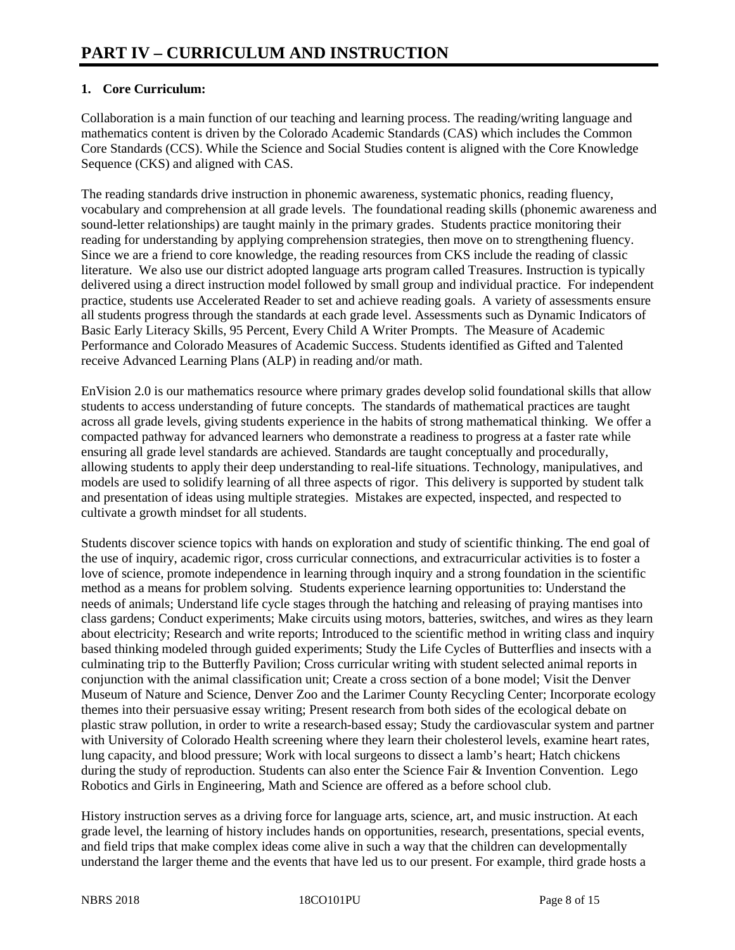# **1. Core Curriculum:**

Collaboration is a main function of our teaching and learning process. The reading/writing language and mathematics content is driven by the Colorado Academic Standards (CAS) which includes the Common Core Standards (CCS). While the Science and Social Studies content is aligned with the Core Knowledge Sequence (CKS) and aligned with CAS.

The reading standards drive instruction in phonemic awareness, systematic phonics, reading fluency, vocabulary and comprehension at all grade levels. The foundational reading skills (phonemic awareness and sound-letter relationships) are taught mainly in the primary grades. Students practice monitoring their reading for understanding by applying comprehension strategies, then move on to strengthening fluency. Since we are a friend to core knowledge, the reading resources from CKS include the reading of classic literature. We also use our district adopted language arts program called Treasures. Instruction is typically delivered using a direct instruction model followed by small group and individual practice. For independent practice, students use Accelerated Reader to set and achieve reading goals. A variety of assessments ensure all students progress through the standards at each grade level. Assessments such as Dynamic Indicators of Basic Early Literacy Skills, 95 Percent, Every Child A Writer Prompts. The Measure of Academic Performance and Colorado Measures of Academic Success. Students identified as Gifted and Talented receive Advanced Learning Plans (ALP) in reading and/or math.

EnVision 2.0 is our mathematics resource where primary grades develop solid foundational skills that allow students to access understanding of future concepts. The standards of mathematical practices are taught across all grade levels, giving students experience in the habits of strong mathematical thinking. We offer a compacted pathway for advanced learners who demonstrate a readiness to progress at a faster rate while ensuring all grade level standards are achieved. Standards are taught conceptually and procedurally, allowing students to apply their deep understanding to real-life situations. Technology, manipulatives, and models are used to solidify learning of all three aspects of rigor. This delivery is supported by student talk and presentation of ideas using multiple strategies. Mistakes are expected, inspected, and respected to cultivate a growth mindset for all students.

Students discover science topics with hands on exploration and study of scientific thinking. The end goal of the use of inquiry, academic rigor, cross curricular connections, and extracurricular activities is to foster a love of science, promote independence in learning through inquiry and a strong foundation in the scientific method as a means for problem solving. Students experience learning opportunities to: Understand the needs of animals; Understand life cycle stages through the hatching and releasing of praying mantises into class gardens; Conduct experiments; Make circuits using motors, batteries, switches, and wires as they learn about electricity; Research and write reports; Introduced to the scientific method in writing class and inquiry based thinking modeled through guided experiments; Study the Life Cycles of Butterflies and insects with a culminating trip to the Butterfly Pavilion; Cross curricular writing with student selected animal reports in conjunction with the animal classification unit; Create a cross section of a bone model; Visit the Denver Museum of Nature and Science, Denver Zoo and the Larimer County Recycling Center; Incorporate ecology themes into their persuasive essay writing; Present research from both sides of the ecological debate on plastic straw pollution, in order to write a research-based essay; Study the cardiovascular system and partner with University of Colorado Health screening where they learn their cholesterol levels, examine heart rates, lung capacity, and blood pressure; Work with local surgeons to dissect a lamb's heart; Hatch chickens during the study of reproduction. Students can also enter the Science Fair & Invention Convention. Lego Robotics and Girls in Engineering, Math and Science are offered as a before school club.

History instruction serves as a driving force for language arts, science, art, and music instruction. At each grade level, the learning of history includes hands on opportunities, research, presentations, special events, and field trips that make complex ideas come alive in such a way that the children can developmentally understand the larger theme and the events that have led us to our present. For example, third grade hosts a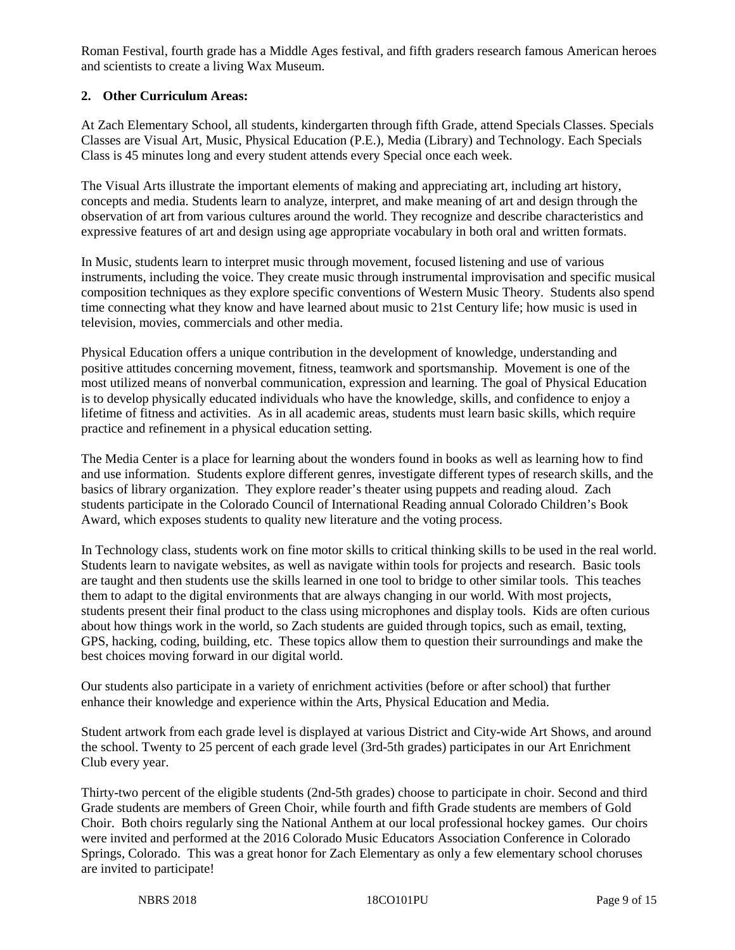Roman Festival, fourth grade has a Middle Ages festival, and fifth graders research famous American heroes and scientists to create a living Wax Museum.

## **2. Other Curriculum Areas:**

At Zach Elementary School, all students, kindergarten through fifth Grade, attend Specials Classes. Specials Classes are Visual Art, Music, Physical Education (P.E.), Media (Library) and Technology. Each Specials Class is 45 minutes long and every student attends every Special once each week.

The Visual Arts illustrate the important elements of making and appreciating art, including art history, concepts and media. Students learn to analyze, interpret, and make meaning of art and design through the observation of art from various cultures around the world. They recognize and describe characteristics and expressive features of art and design using age appropriate vocabulary in both oral and written formats.

In Music, students learn to interpret music through movement, focused listening and use of various instruments, including the voice. They create music through instrumental improvisation and specific musical composition techniques as they explore specific conventions of Western Music Theory. Students also spend time connecting what they know and have learned about music to 21st Century life; how music is used in television, movies, commercials and other media.

Physical Education offers a unique contribution in the development of knowledge, understanding and positive attitudes concerning movement, fitness, teamwork and sportsmanship. Movement is one of the most utilized means of nonverbal communication, expression and learning. The goal of Physical Education is to develop physically educated individuals who have the knowledge, skills, and confidence to enjoy a lifetime of fitness and activities. As in all academic areas, students must learn basic skills, which require practice and refinement in a physical education setting.

The Media Center is a place for learning about the wonders found in books as well as learning how to find and use information. Students explore different genres, investigate different types of research skills, and the basics of library organization. They explore reader's theater using puppets and reading aloud. Zach students participate in the Colorado Council of International Reading annual Colorado Children's Book Award, which exposes students to quality new literature and the voting process.

In Technology class, students work on fine motor skills to critical thinking skills to be used in the real world. Students learn to navigate websites, as well as navigate within tools for projects and research. Basic tools are taught and then students use the skills learned in one tool to bridge to other similar tools. This teaches them to adapt to the digital environments that are always changing in our world. With most projects, students present their final product to the class using microphones and display tools. Kids are often curious about how things work in the world, so Zach students are guided through topics, such as email, texting, GPS, hacking, coding, building, etc. These topics allow them to question their surroundings and make the best choices moving forward in our digital world.

Our students also participate in a variety of enrichment activities (before or after school) that further enhance their knowledge and experience within the Arts, Physical Education and Media.

Student artwork from each grade level is displayed at various District and City-wide Art Shows, and around the school. Twenty to 25 percent of each grade level (3rd-5th grades) participates in our Art Enrichment Club every year.

Thirty-two percent of the eligible students (2nd-5th grades) choose to participate in choir. Second and third Grade students are members of Green Choir, while fourth and fifth Grade students are members of Gold Choir. Both choirs regularly sing the National Anthem at our local professional hockey games. Our choirs were invited and performed at the 2016 Colorado Music Educators Association Conference in Colorado Springs, Colorado. This was a great honor for Zach Elementary as only a few elementary school choruses are invited to participate!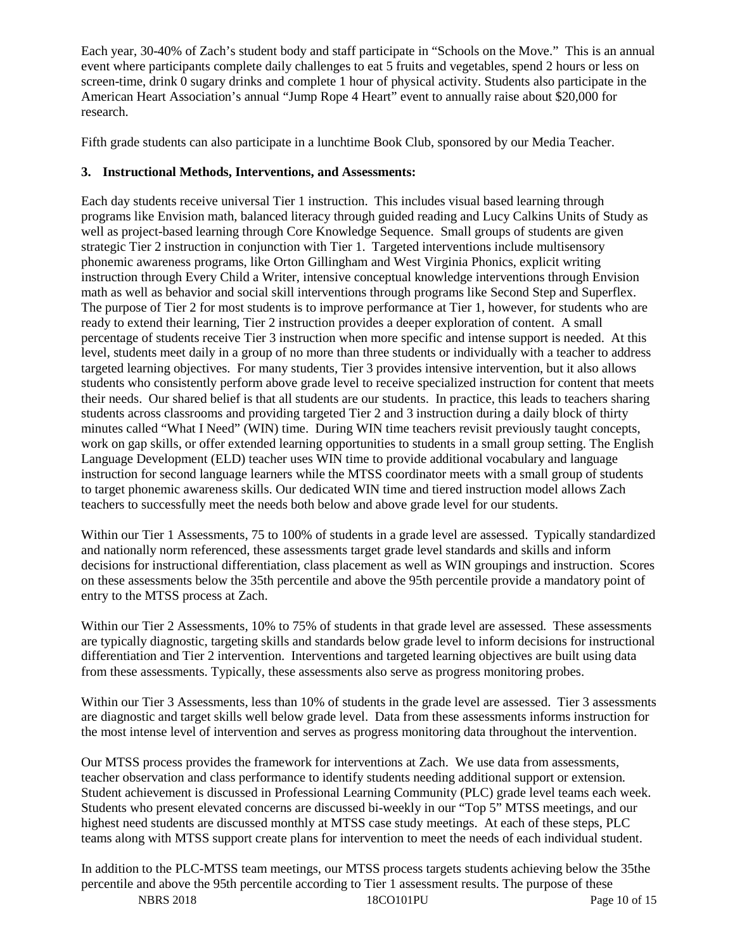Each year, 30-40% of Zach's student body and staff participate in "Schools on the Move." This is an annual event where participants complete daily challenges to eat 5 fruits and vegetables, spend 2 hours or less on screen-time, drink 0 sugary drinks and complete 1 hour of physical activity. Students also participate in the American Heart Association's annual "Jump Rope 4 Heart" event to annually raise about \$20,000 for research.

Fifth grade students can also participate in a lunchtime Book Club, sponsored by our Media Teacher.

## **3. Instructional Methods, Interventions, and Assessments:**

Each day students receive universal Tier 1 instruction. This includes visual based learning through programs like Envision math, balanced literacy through guided reading and Lucy Calkins Units of Study as well as project-based learning through Core Knowledge Sequence. Small groups of students are given strategic Tier 2 instruction in conjunction with Tier 1. Targeted interventions include multisensory phonemic awareness programs, like Orton Gillingham and West Virginia Phonics, explicit writing instruction through Every Child a Writer, intensive conceptual knowledge interventions through Envision math as well as behavior and social skill interventions through programs like Second Step and Superflex. The purpose of Tier 2 for most students is to improve performance at Tier 1, however, for students who are ready to extend their learning, Tier 2 instruction provides a deeper exploration of content. A small percentage of students receive Tier 3 instruction when more specific and intense support is needed. At this level, students meet daily in a group of no more than three students or individually with a teacher to address targeted learning objectives. For many students, Tier 3 provides intensive intervention, but it also allows students who consistently perform above grade level to receive specialized instruction for content that meets their needs. Our shared belief is that all students are our students. In practice, this leads to teachers sharing students across classrooms and providing targeted Tier 2 and 3 instruction during a daily block of thirty minutes called "What I Need" (WIN) time. During WIN time teachers revisit previously taught concepts, work on gap skills, or offer extended learning opportunities to students in a small group setting. The English Language Development (ELD) teacher uses WIN time to provide additional vocabulary and language instruction for second language learners while the MTSS coordinator meets with a small group of students to target phonemic awareness skills. Our dedicated WIN time and tiered instruction model allows Zach teachers to successfully meet the needs both below and above grade level for our students.

Within our Tier 1 Assessments, 75 to 100% of students in a grade level are assessed. Typically standardized and nationally norm referenced, these assessments target grade level standards and skills and inform decisions for instructional differentiation, class placement as well as WIN groupings and instruction. Scores on these assessments below the 35th percentile and above the 95th percentile provide a mandatory point of entry to the MTSS process at Zach.

Within our Tier 2 Assessments, 10% to 75% of students in that grade level are assessed. These assessments are typically diagnostic, targeting skills and standards below grade level to inform decisions for instructional differentiation and Tier 2 intervention. Interventions and targeted learning objectives are built using data from these assessments. Typically, these assessments also serve as progress monitoring probes.

Within our Tier 3 Assessments, less than 10% of students in the grade level are assessed. Tier 3 assessments are diagnostic and target skills well below grade level. Data from these assessments informs instruction for the most intense level of intervention and serves as progress monitoring data throughout the intervention.

Our MTSS process provides the framework for interventions at Zach. We use data from assessments, teacher observation and class performance to identify students needing additional support or extension. Student achievement is discussed in Professional Learning Community (PLC) grade level teams each week. Students who present elevated concerns are discussed bi-weekly in our "Top 5" MTSS meetings, and our highest need students are discussed monthly at MTSS case study meetings. At each of these steps, PLC teams along with MTSS support create plans for intervention to meet the needs of each individual student.

NBRS 2018 18CO101PU Page 10 of 15 In addition to the PLC-MTSS team meetings, our MTSS process targets students achieving below the 35the percentile and above the 95th percentile according to Tier 1 assessment results. The purpose of these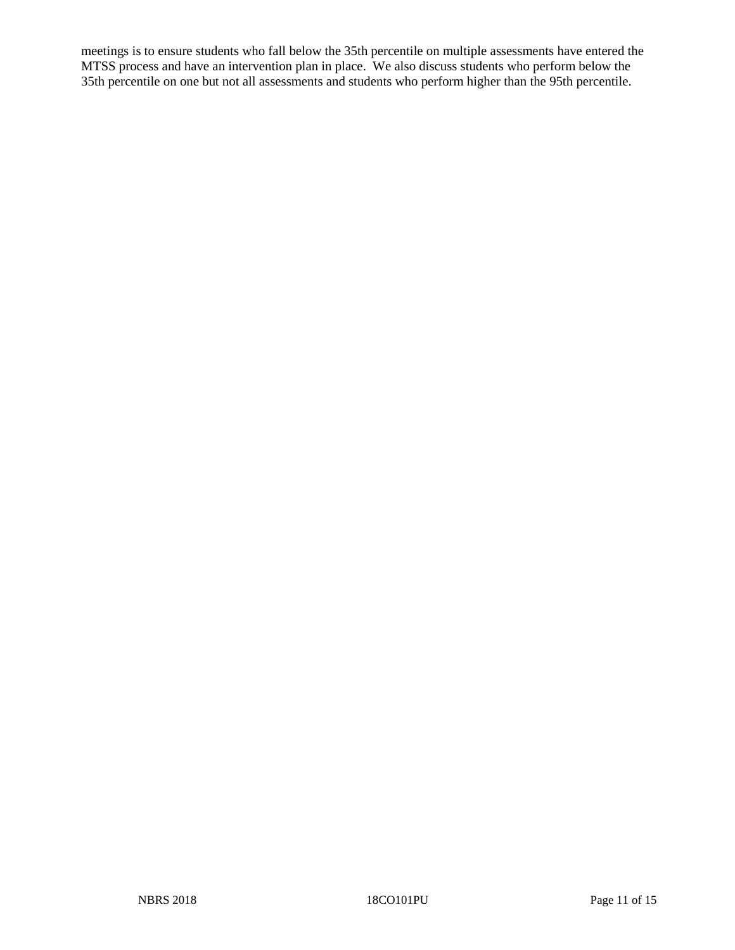meetings is to ensure students who fall below the 35th percentile on multiple assessments have entered the MTSS process and have an intervention plan in place. We also discuss students who perform below the 35th percentile on one but not all assessments and students who perform higher than the 95th percentile.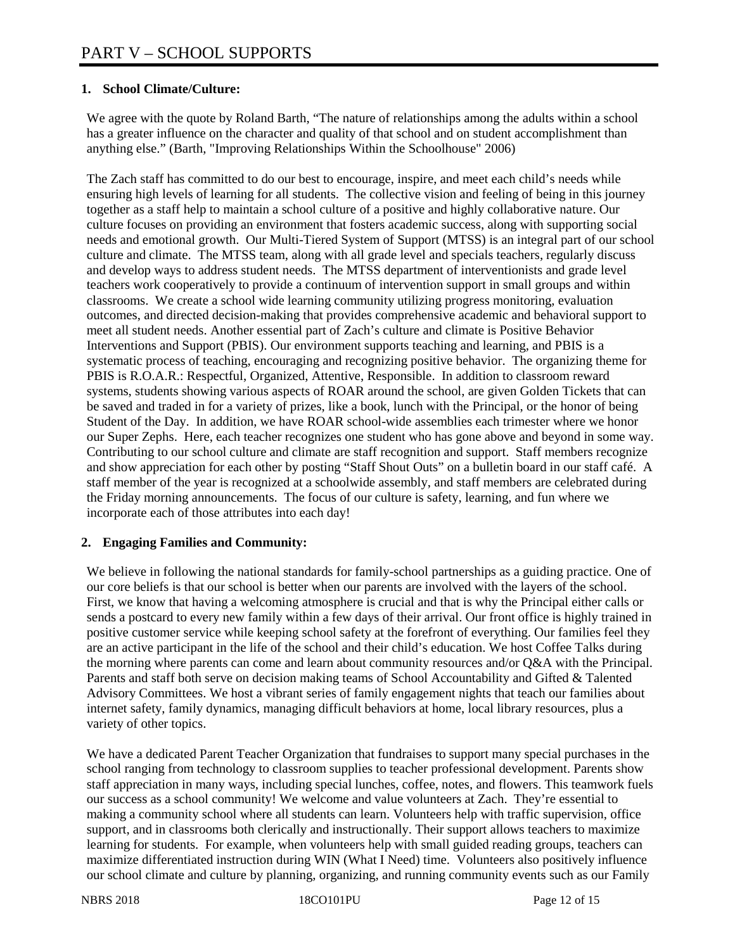## **1. School Climate/Culture:**

We agree with the quote by Roland Barth, "The nature of relationships among the adults within a school has a greater influence on the character and quality of that school and on student accomplishment than anything else." (Barth, "Improving Relationships Within the Schoolhouse" 2006)

The Zach staff has committed to do our best to encourage, inspire, and meet each child's needs while ensuring high levels of learning for all students. The collective vision and feeling of being in this journey together as a staff help to maintain a school culture of a positive and highly collaborative nature. Our culture focuses on providing an environment that fosters academic success, along with supporting social needs and emotional growth. Our Multi-Tiered System of Support (MTSS) is an integral part of our school culture and climate. The MTSS team, along with all grade level and specials teachers, regularly discuss and develop ways to address student needs. The MTSS department of interventionists and grade level teachers work cooperatively to provide a continuum of intervention support in small groups and within classrooms. We create a school wide learning community utilizing progress monitoring, evaluation outcomes, and directed decision-making that provides comprehensive academic and behavioral support to meet all student needs. Another essential part of Zach's culture and climate is Positive Behavior Interventions and Support (PBIS). Our environment supports teaching and learning, and PBIS is a systematic process of teaching, encouraging and recognizing positive behavior. The organizing theme for PBIS is R.O.A.R.: Respectful, Organized, Attentive, Responsible. In addition to classroom reward systems, students showing various aspects of ROAR around the school, are given Golden Tickets that can be saved and traded in for a variety of prizes, like a book, lunch with the Principal, or the honor of being Student of the Day. In addition, we have ROAR school-wide assemblies each trimester where we honor our Super Zephs. Here, each teacher recognizes one student who has gone above and beyond in some way. Contributing to our school culture and climate are staff recognition and support. Staff members recognize and show appreciation for each other by posting "Staff Shout Outs" on a bulletin board in our staff café. A staff member of the year is recognized at a schoolwide assembly, and staff members are celebrated during the Friday morning announcements. The focus of our culture is safety, learning, and fun where we incorporate each of those attributes into each day!

#### **2. Engaging Families and Community:**

We believe in following the national standards for family-school partnerships as a guiding practice. One of our core beliefs is that our school is better when our parents are involved with the layers of the school. First, we know that having a welcoming atmosphere is crucial and that is why the Principal either calls or sends a postcard to every new family within a few days of their arrival. Our front office is highly trained in positive customer service while keeping school safety at the forefront of everything. Our families feel they are an active participant in the life of the school and their child's education. We host Coffee Talks during the morning where parents can come and learn about community resources and/or Q&A with the Principal. Parents and staff both serve on decision making teams of School Accountability and Gifted & Talented Advisory Committees. We host a vibrant series of family engagement nights that teach our families about internet safety, family dynamics, managing difficult behaviors at home, local library resources, plus a variety of other topics.

We have a dedicated Parent Teacher Organization that fundraises to support many special purchases in the school ranging from technology to classroom supplies to teacher professional development. Parents show staff appreciation in many ways, including special lunches, coffee, notes, and flowers. This teamwork fuels our success as a school community! We welcome and value volunteers at Zach. They're essential to making a community school where all students can learn. Volunteers help with traffic supervision, office support, and in classrooms both clerically and instructionally. Their support allows teachers to maximize learning for students. For example, when volunteers help with small guided reading groups, teachers can maximize differentiated instruction during WIN (What I Need) time. Volunteers also positively influence our school climate and culture by planning, organizing, and running community events such as our Family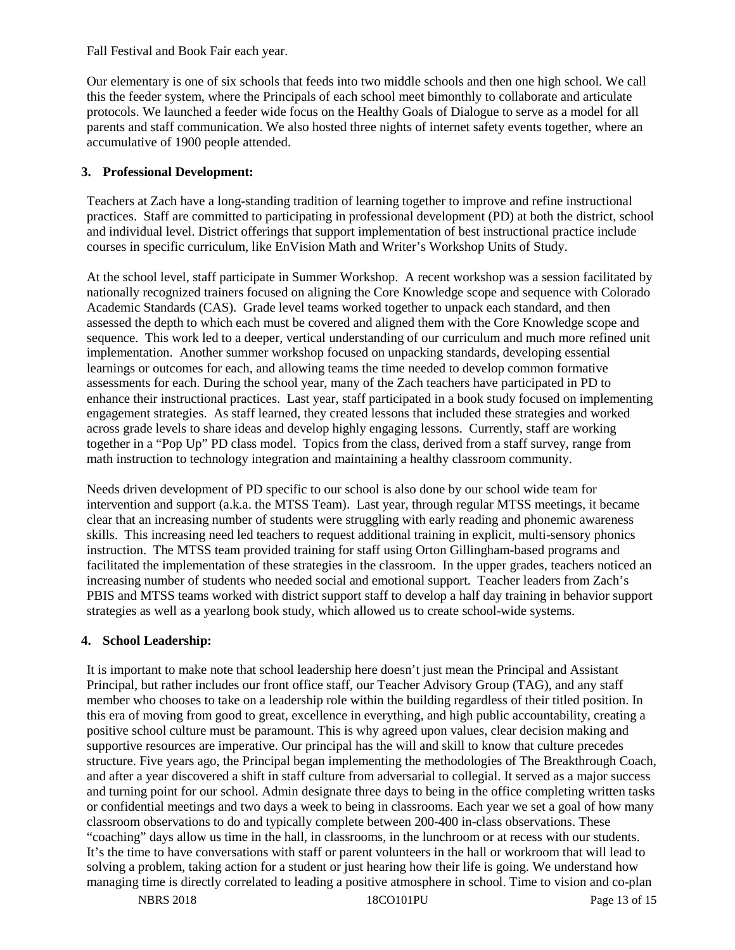Fall Festival and Book Fair each year.

Our elementary is one of six schools that feeds into two middle schools and then one high school. We call this the feeder system, where the Principals of each school meet bimonthly to collaborate and articulate protocols. We launched a feeder wide focus on the Healthy Goals of Dialogue to serve as a model for all parents and staff communication. We also hosted three nights of internet safety events together, where an accumulative of 1900 people attended.

## **3. Professional Development:**

Teachers at Zach have a long-standing tradition of learning together to improve and refine instructional practices. Staff are committed to participating in professional development (PD) at both the district, school and individual level. District offerings that support implementation of best instructional practice include courses in specific curriculum, like EnVision Math and Writer's Workshop Units of Study.

At the school level, staff participate in Summer Workshop. A recent workshop was a session facilitated by nationally recognized trainers focused on aligning the Core Knowledge scope and sequence with Colorado Academic Standards (CAS). Grade level teams worked together to unpack each standard, and then assessed the depth to which each must be covered and aligned them with the Core Knowledge scope and sequence. This work led to a deeper, vertical understanding of our curriculum and much more refined unit implementation. Another summer workshop focused on unpacking standards, developing essential learnings or outcomes for each, and allowing teams the time needed to develop common formative assessments for each. During the school year, many of the Zach teachers have participated in PD to enhance their instructional practices. Last year, staff participated in a book study focused on implementing engagement strategies. As staff learned, they created lessons that included these strategies and worked across grade levels to share ideas and develop highly engaging lessons. Currently, staff are working together in a "Pop Up" PD class model. Topics from the class, derived from a staff survey, range from math instruction to technology integration and maintaining a healthy classroom community.

Needs driven development of PD specific to our school is also done by our school wide team for intervention and support (a.k.a. the MTSS Team). Last year, through regular MTSS meetings, it became clear that an increasing number of students were struggling with early reading and phonemic awareness skills. This increasing need led teachers to request additional training in explicit, multi-sensory phonics instruction. The MTSS team provided training for staff using Orton Gillingham-based programs and facilitated the implementation of these strategies in the classroom. In the upper grades, teachers noticed an increasing number of students who needed social and emotional support. Teacher leaders from Zach's PBIS and MTSS teams worked with district support staff to develop a half day training in behavior support strategies as well as a yearlong book study, which allowed us to create school-wide systems.

#### **4. School Leadership:**

It is important to make note that school leadership here doesn't just mean the Principal and Assistant Principal, but rather includes our front office staff, our Teacher Advisory Group (TAG), and any staff member who chooses to take on a leadership role within the building regardless of their titled position. In this era of moving from good to great, excellence in everything, and high public accountability, creating a positive school culture must be paramount. This is why agreed upon values, clear decision making and supportive resources are imperative. Our principal has the will and skill to know that culture precedes structure. Five years ago, the Principal began implementing the methodologies of The Breakthrough Coach, and after a year discovered a shift in staff culture from adversarial to collegial. It served as a major success and turning point for our school. Admin designate three days to being in the office completing written tasks or confidential meetings and two days a week to being in classrooms. Each year we set a goal of how many classroom observations to do and typically complete between 200-400 in-class observations. These "coaching" days allow us time in the hall, in classrooms, in the lunchroom or at recess with our students. It's the time to have conversations with staff or parent volunteers in the hall or workroom that will lead to solving a problem, taking action for a student or just hearing how their life is going. We understand how managing time is directly correlated to leading a positive atmosphere in school. Time to vision and co-plan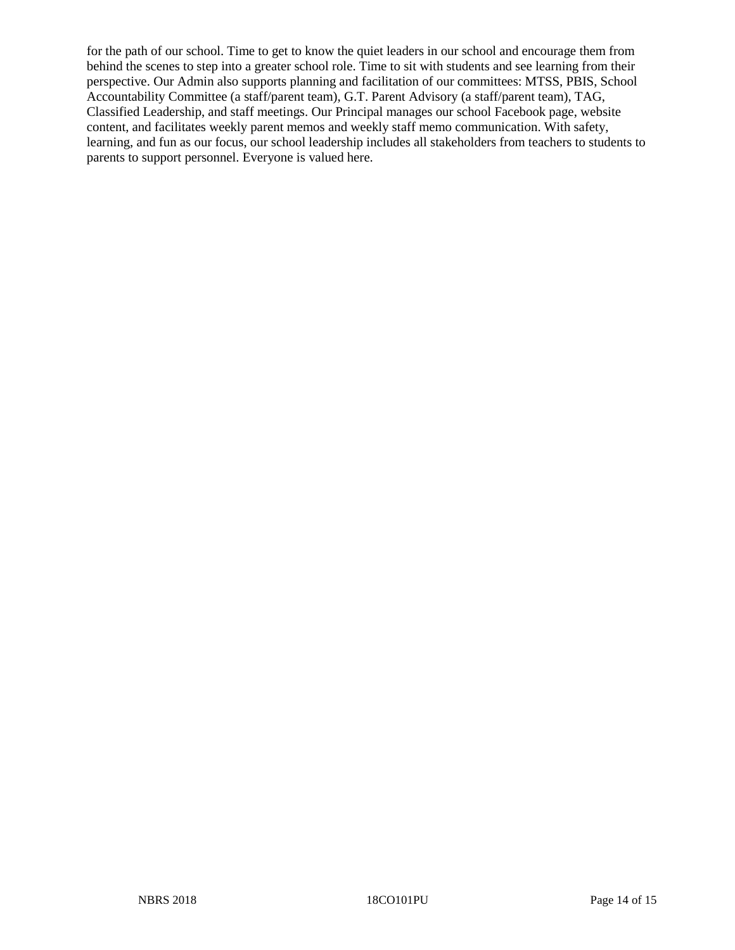for the path of our school. Time to get to know the quiet leaders in our school and encourage them from behind the scenes to step into a greater school role. Time to sit with students and see learning from their perspective. Our Admin also supports planning and facilitation of our committees: MTSS, PBIS, School Accountability Committee (a staff/parent team), G.T. Parent Advisory (a staff/parent team), TAG, Classified Leadership, and staff meetings. Our Principal manages our school Facebook page, website content, and facilitates weekly parent memos and weekly staff memo communication. With safety, learning, and fun as our focus, our school leadership includes all stakeholders from teachers to students to parents to support personnel. Everyone is valued here.